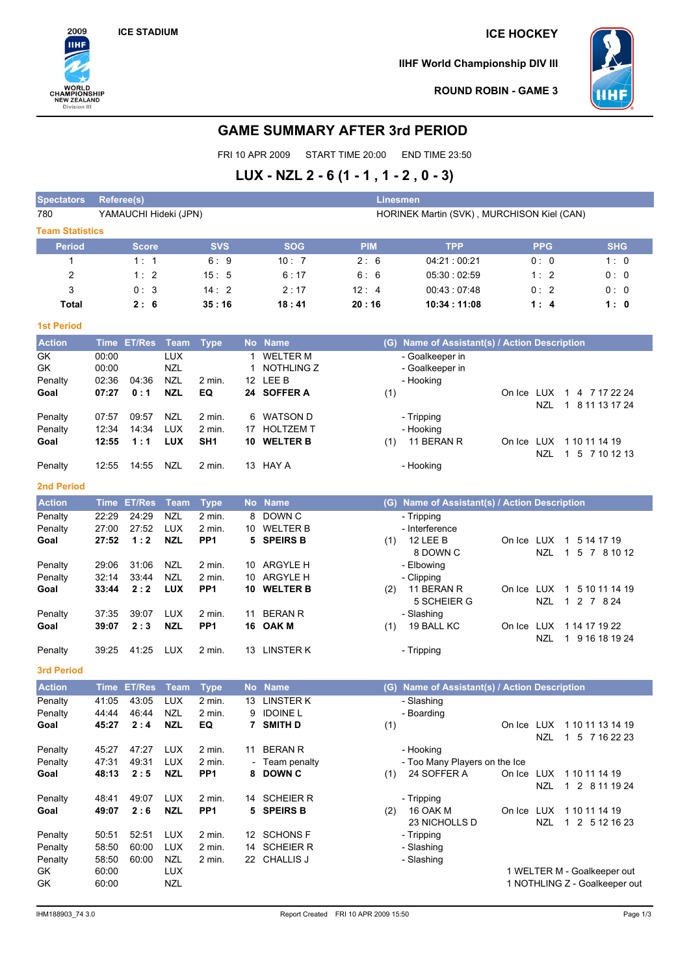

**IIHF World Championship DIV III**



**ROUND ROBIN - GAME 3**

# **GAME SUMMARY AFTER 3rd PERIOD**

FRI 10 APR 2009 START TIME 20:00 END TIME 23:50

# **LUX - NZL 2 - 6 (1 - 1 , 1 - 2 , 0 - 3)**

| <b>Spectators</b>      | Referee(s)                                                          |                |                          |                  |    |                              | Linesmen   |                                               |            |            |                                 |
|------------------------|---------------------------------------------------------------------|----------------|--------------------------|------------------|----|------------------------------|------------|-----------------------------------------------|------------|------------|---------------------------------|
| 780                    | YAMAUCHI Hideki (JPN)<br>HORINEK Martin (SVK), MURCHISON Kiel (CAN) |                |                          |                  |    |                              |            |                                               |            |            |                                 |
| <b>Team Statistics</b> |                                                                     |                |                          |                  |    |                              |            |                                               |            |            |                                 |
| <b>Period</b>          |                                                                     | <b>Score</b>   |                          | <b>SVS</b>       |    | <b>SOG</b>                   | <b>PIM</b> | <b>TPP</b>                                    |            | <b>PPG</b> | <b>SHG</b>                      |
| 1                      |                                                                     | 1:1            |                          | 6:9              |    | 10:7                         | 2:6        | 04:21:00:21                                   |            | 0:0        | 1:0                             |
| 2                      |                                                                     | 1:2            |                          | 15:5             |    | 6:17                         | 6:6        | 05:30:02:59                                   |            | 1:2        | 0:0                             |
| 3                      |                                                                     | 0:3            |                          | 14:2             |    | 2:17                         | 12:4       | 00:43:07:48                                   |            | 0:2        | 0:0                             |
| Total                  |                                                                     | 2:6            |                          | 35:16            |    | 18:41                        | 20:16      | 10:34 : 11:08                                 |            | 1:4        | 1:0                             |
| <b>1st Period</b>      |                                                                     |                |                          |                  |    |                              |            |                                               |            |            |                                 |
| <b>Action</b>          | <b>Time</b>                                                         | <b>ET/Res</b>  | <b>Team</b>              | <b>Type</b>      |    | No Name                      |            | (G) Name of Assistant(s) / Action Description |            |            |                                 |
| GK                     | 00:00                                                               |                | <b>LUX</b>               |                  | 1  | <b>WELTER M</b>              |            | - Goalkeeper in                               |            |            |                                 |
| GK                     | 00:00                                                               |                | <b>NZL</b>               |                  | 1  | NOTHLING Z                   |            | - Goalkeeper in                               |            |            |                                 |
| Penalty                | 02:36                                                               | 04:36          | <b>NZL</b>               | 2 min.           |    | 12 LEE B                     |            | - Hooking                                     |            |            |                                 |
| Goal                   | 07:27                                                               | 0:1            | <b>NZL</b>               | EQ               |    | 24 SOFFER A                  | (1)        |                                               | On Ice LUX |            | 1 4 7 17 22 24                  |
|                        |                                                                     |                |                          |                  |    |                              |            |                                               |            | NZL        | 1 8 11 13 17 24                 |
| Penalty                | 07:57                                                               | 09:57          | NZL                      | 2 min.           | 6  | WATSON D                     |            | - Tripping                                    |            |            |                                 |
| Penalty                | 12:34                                                               | 14:34          | <b>LUX</b>               | $2$ min.         | 17 | <b>HOLTZEM T</b>             |            | - Hooking                                     |            |            |                                 |
| Goal                   | 12:55                                                               | 1:1            | <b>LUX</b>               | SH <sub>1</sub>  |    | 10 WELTER B                  | (1)        | 11 BERAN R                                    | On Ice LUX |            | 1 10 11 14 19<br>1 5 7 10 12 13 |
| Penalty                | 12:55                                                               | 14:55          | NZL                      | 2 min.           |    | 13 HAY A                     |            | - Hooking                                     |            | NZL        |                                 |
| <b>2nd Period</b>      |                                                                     |                |                          |                  |    |                              |            |                                               |            |            |                                 |
|                        |                                                                     |                |                          |                  |    |                              |            |                                               |            |            |                                 |
| <b>Action</b>          | <b>Time</b>                                                         | <b>ET/Res</b>  | <b>Team</b>              | <b>Type</b>      |    | No Name                      |            | (G) Name of Assistant(s) / Action Description |            |            |                                 |
| Penalty                | 22:29<br>27:00                                                      | 24:29<br>27:52 | <b>NZL</b><br><b>LUX</b> | 2 min.<br>2 min. | 8  | DOWN C<br>10 WELTER B        |            | - Tripping<br>- Interference                  |            |            |                                 |
| Penalty<br>Goal        | 27:52                                                               | 1:2            | <b>NZL</b>               | PP <sub>1</sub>  | 5  | <b>SPEIRS B</b>              | (1)        | 12 LEE B                                      | On Ice LUX |            | 1 5 14 17 19                    |
|                        |                                                                     |                |                          |                  |    |                              |            | 8 DOWN C                                      |            | <b>NZL</b> | 1 5 7 8 10 12                   |
| Penalty                | 29:06                                                               | 31:06          | NZL                      | 2 min.           |    | 10 ARGYLE H                  |            | - Elbowing                                    |            |            |                                 |
| Penalty                | 32:14                                                               | 33:44          | <b>NZL</b>               | 2 min.           |    | 10 ARGYLE H                  |            | - Clipping                                    |            |            |                                 |
| Goal                   | 33:44                                                               | 2:2            | <b>LUX</b>               | PP <sub>1</sub>  | 10 | <b>WELTER B</b>              | (2)        | 11 BERAN R                                    | On Ice LUX |            | 1 5 10 11 14 19                 |
|                        |                                                                     |                |                          |                  |    |                              |            | 5 SCHEIER G                                   |            | <b>NZL</b> | 1 2 7 8 24                      |
| Penalty                | 37:35                                                               | 39:07          | <b>LUX</b>               | 2 min.           | 11 | <b>BERAN R</b>               |            | - Slashing                                    |            |            |                                 |
| Goal                   | 39:07                                                               | 2:3            | <b>NZL</b>               | PP <sub>1</sub>  | 16 | <b>OAK M</b>                 | (1)        | 19 BALL KC                                    | On Ice LUX |            | 1 14 17 19 22                   |
| Penalty                | 39:25                                                               | 41:25          | LUX                      | 2 min.           |    | 13 LINSTER K                 |            | - Tripping                                    |            | <b>NZL</b> | 1 9 16 18 19 24                 |
|                        |                                                                     |                |                          |                  |    |                              |            |                                               |            |            |                                 |
| <b>3rd Period</b>      |                                                                     |                |                          |                  |    |                              |            |                                               |            |            |                                 |
| Action                 | <b>Time</b>                                                         | <b>ET/Res</b>  | <b>Team</b>              | <b>Type</b>      |    | No Name                      | (G)        | Name of Assistant(s) / Action Description     |            |            |                                 |
| Penalty                | 41:05                                                               | 43:05          | <b>LUX</b>               | $2$ min.         | 13 | <b>LINSTER K</b>             |            | - Slashing                                    |            |            |                                 |
| Penalty<br>Goal        | 44:44<br>45:27                                                      | 46:44<br>2:4   | NZL<br><b>NZL</b>        | 2 min.<br>EQ     | 9  | <b>IDOINE L</b><br>7 SMITH D | (1)        | - Boarding                                    |            |            | On Ice LUX 1 10 11 13 14 19     |
|                        |                                                                     |                |                          |                  |    |                              |            |                                               |            | <b>NZL</b> | 1 5 7 16 22 23                  |
| Penalty                | 45:27                                                               | 47:27          | <b>LUX</b>               | 2 min.           |    | 11 BERAN R                   |            | - Hooking                                     |            |            |                                 |
| Penalty                | 47:31                                                               | 49:31          | <b>LUX</b>               | 2 min.           |    | - Team penalty               |            | - Too Many Players on the Ice                 |            |            |                                 |
| Goal                   | 48:13                                                               | 2:5            | <b>NZL</b>               | PP <sub>1</sub>  | 8  | <b>DOWN C</b>                | (1)        | 24 SOFFER A                                   |            |            | On Ice LUX 1 10 11 14 19        |
|                        |                                                                     |                |                          |                  |    |                              |            |                                               |            | NZL        | 1 2 8 11 19 24                  |
| Penalty                | 48:41                                                               | 49:07          | LUX                      | 2 min.           |    | 14 SCHEIER R                 |            | - Tripping                                    |            |            |                                 |
| Goal                   | 49:07                                                               | 2:6            | <b>NZL</b>               | PP <sub>1</sub>  |    | 5 SPEIRS B                   | (2)        | 16 OAK M                                      |            |            | On Ice LUX 1 10 11 14 19        |
| Penalty                | 50:51                                                               | 52:51          | LUX                      | 2 min.           |    | 12 SCHONS F                  |            | 23 NICHOLLS D<br>- Tripping                   |            | <b>NZL</b> | 1 2 5 12 16 23                  |
| Penalty                | 58:50                                                               | 60:00          | <b>LUX</b>               | 2 min.           |    | 14 SCHEIER R                 |            | - Slashing                                    |            |            |                                 |
| Penalty                | 58:50                                                               | 60:00          | <b>NZL</b>               | $2$ min.         |    | 22 CHALLIS J                 |            | - Slashing                                    |            |            |                                 |
| GK                     | 60:00                                                               |                | LUX                      |                  |    |                              |            |                                               |            |            | 1 WELTER M - Goalkeeper out     |
| GK                     | 60:00                                                               |                | <b>NZL</b>               |                  |    |                              |            |                                               |            |            | 1 NOTHLING Z - Goalkeeper out   |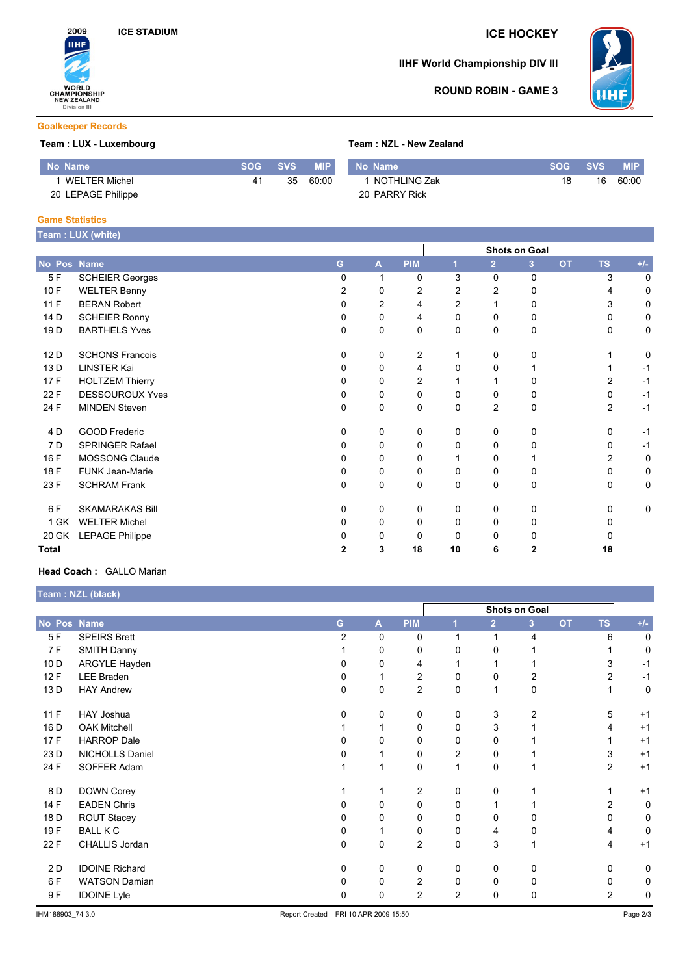

# **IIHF World Championship DIV III**



## **ROUND ROBIN - GAME 3**

### **Goalkeeper Records**

## **Team : LUX - Luxembourg Team : NZL - New Zealand**

| No Name \            | SOG 4 | <b>SVS</b> | <b>MIP</b> | Mo Name        | SOG | <b>SVS</b> | <b>MIP</b> |
|----------------------|-------|------------|------------|----------------|-----|------------|------------|
| <b>WELTER Michel</b> |       | 35         | 60:00      | 1 NOTHLING Zak | 18  | 16         | 60:00      |
| 20 LEPAGE Philippe   |       |            |            | 20 PARRY Rick  |     |            |            |

#### **Game Statistics**

|                 | Team : LUX (white)     |          |   |                |                |                |                      |           |                |       |
|-----------------|------------------------|----------|---|----------------|----------------|----------------|----------------------|-----------|----------------|-------|
|                 |                        |          |   |                |                |                | <b>Shots on Goal</b> |           |                |       |
| No Pos Name     |                        | G.       | A | <b>PIM</b>     | 1              | $\overline{2}$ | 3 <sup>2</sup>       | <b>OT</b> | <b>TS</b>      | $+/-$ |
| 5F              | <b>SCHEIER Georges</b> | 0        | 1 | 0              | 3              | $\mathbf 0$    | 0                    |           | 3              | 0     |
| 10 F            | <b>WELTER Benny</b>    | 2        | 0 | $\overline{2}$ | 2              | 2              | 0                    |           | 4              | 0     |
| 11F             | <b>BERAN Robert</b>    | 0        | 2 | 4              | $\overline{c}$ |                | 0                    |           | 3              | 0     |
| 14 D            | <b>SCHEIER Ronny</b>   | 0        | 0 | 4              | 0              | 0              | 0                    |           | 0              | 0     |
| 19 <sub>D</sub> | <b>BARTHELS Yves</b>   | 0        | 0 | 0              | 0              | 0              | 0                    |           | 0              | 0     |
| 12D             | <b>SCHONS Francois</b> | 0        | 0 | 2              |                | $\Omega$       | 0                    |           |                | 0     |
| 13 D            | <b>LINSTER Kai</b>     | 0        | 0 | 4              | $\Omega$       | 0              |                      |           |                | $-1$  |
| 17F             | <b>HOLTZEM Thierry</b> | $\Omega$ | 0 | $\overline{2}$ |                |                | 0                    |           | 2              | $-1$  |
| 22 F            | <b>DESSOUROUX Yves</b> | 0        | 0 | 0              | 0              | 0              | 0                    |           | 0              | $-1$  |
| 24 F            | <b>MINDEN Steven</b>   | $\Omega$ | 0 | 0              | $\Omega$       | 2              | 0                    |           | $\overline{2}$ | $-1$  |
| 4 D             | <b>GOOD Frederic</b>   | 0        | 0 | 0              | 0              | 0              | 0                    |           | 0              | $-1$  |
| 7 D             | <b>SPRINGER Rafael</b> | 0        | 0 | 0              | 0              | 0              | 0                    |           | 0              | $-1$  |
| 16 F            | <b>MOSSONG Claude</b>  | 0        | 0 | 0              |                | 0              |                      |           | 2              | 0     |
| 18 F            | <b>FUNK Jean-Marie</b> | 0        | 0 | 0              | 0              | 0              | 0                    |           | 0              | 0     |
| 23 F            | <b>SCHRAM Frank</b>    | 0        | 0 | $\mathbf 0$    | 0              | $\mathbf 0$    | $\mathbf 0$          |           | 0              | 0     |
| 6 F             | <b>SKAMARAKAS Bill</b> | 0        | 0 | 0              | 0              | 0              | 0                    |           | $\Omega$       | 0     |
| 1 GK            | <b>WELTER Michel</b>   | 0        | 0 | 0              | 0              | 0              | 0                    |           | <sup>0</sup>   |       |
| 20 GK           | <b>LEPAGE Philippe</b> | 0        | 0 | 0              | 0              | $\Omega$       | 0                    |           | <sup>0</sup>   |       |
| <b>Total</b>    |                        | 2        | 3 | 18             | 10             | 6              | 2                    |           | 18             |       |

#### **Head Coach :** GALLO Marian

**Team : NZL (black)**

|             | $1$ vant $1$ is $E = \{$ biavn $\}$ |    |                         |                |                      |                |                |           |                |       |
|-------------|-------------------------------------|----|-------------------------|----------------|----------------------|----------------|----------------|-----------|----------------|-------|
|             |                                     |    |                         |                | <b>Shots on Goal</b> |                |                |           |                |       |
| No Pos Name |                                     | G. | $\overline{\mathsf{A}}$ | <b>PIM</b>     | 1                    | $\overline{2}$ | 3              | <b>OT</b> | <b>TS</b>      | $+/-$ |
| 5F          | <b>SPEIRS Brett</b>                 | 2  | $\Omega$                | 0              |                      | 1              | 4              |           | 6              | 0     |
| 7 F         | <b>SMITH Danny</b>                  |    | 0                       | 0              | 0                    | 0              |                |           |                | 0     |
| 10 D        | ARGYLE Hayden                       | U  | 0                       | 4              |                      |                |                |           | 3              | $-1$  |
| 12F         | <b>LEE Braden</b>                   |    |                         | $\overline{c}$ | 0                    | 0              | 2              |           | $\overline{2}$ | $-1$  |
| 13 D        | <b>HAY Andrew</b>                   | 0  | 0                       | $\overline{c}$ | 0                    | 1              | 0              |           |                | 0     |
| 11F         | HAY Joshua                          | 0  | 0                       | 0              | 0                    | 3              | $\overline{2}$ |           | 5              | $+1$  |
| 16 D        | <b>OAK Mitchell</b>                 |    |                         | 0              | $\Omega$             | 3              |                |           |                | $+1$  |
| 17F         | <b>HARROP Dale</b>                  | O  | $\Omega$                | 0              | 0                    | $\Omega$       |                |           |                | $+1$  |
| 23 D        | NICHOLLS Daniel                     |    |                         | 0              | 2                    | 0              |                |           | 3              | $+1$  |
| 24 F        | SOFFER Adam                         |    | 1                       | 0              |                      | 0              |                |           | $\overline{2}$ | $+1$  |
| 8 D         | <b>DOWN Corey</b>                   |    |                         | 2              | 0                    | 0              |                |           |                | $+1$  |
| 14 F        | <b>EADEN Chris</b>                  |    | $\Omega$                | 0              | $\Omega$             | 1              |                |           | $\overline{c}$ | 0     |
| 18 D        | <b>ROUT Stacey</b>                  |    | $\Omega$                | 0              | 0                    | 0              | 0              |           | 0              | 0     |
| 19F         | <b>BALL K C</b>                     |    |                         | 0              | 0                    | 4              | 0              |           | 4              | 0     |
| 22 F        | CHALLIS Jordan                      | 0  | 0                       | $\overline{c}$ | $\Omega$             | 3              |                |           | 4              | $+1$  |
| 2 D         | <b>IDOINE Richard</b>               | 0  | $\mathbf 0$             | 0              | 0                    | 0              | 0              |           | 0              | 0     |
| 6F          | <b>WATSON Damian</b>                | U  | 0                       | $\overline{c}$ | 0                    | 0              | 0              |           | 0              | 0     |
| 9F          | <b>IDOINE Lyle</b>                  | 0  | 0                       | 2              | $\overline{2}$       | 0              | 0              |           | $\overline{2}$ | 0     |